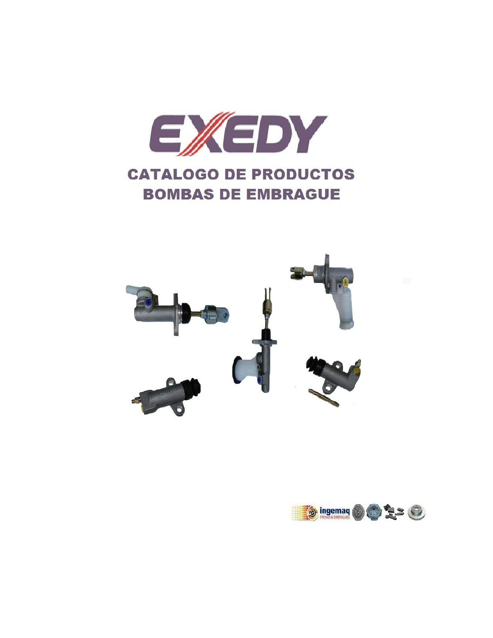



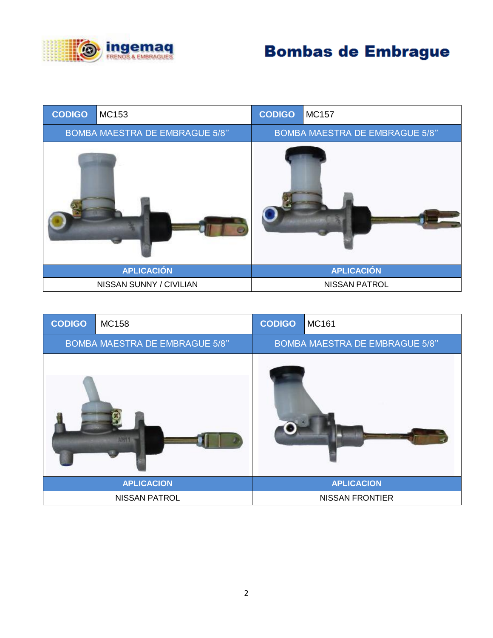



| <b>CODIGO</b>                         | <b>MC158</b>         | <b>CODIGO</b> | MC161                                 |
|---------------------------------------|----------------------|---------------|---------------------------------------|
| <b>BOMBA MAESTRA DE EMBRAGUE 5/8"</b> |                      |               | <b>BOMBA MAESTRA DE EMBRAGUE 5/8"</b> |
|                                       |                      |               |                                       |
|                                       | <b>APLICACION</b>    |               | <b>APLICACION</b>                     |
|                                       | <b>NISSAN PATROL</b> |               | <b>NISSAN FRONTIER</b>                |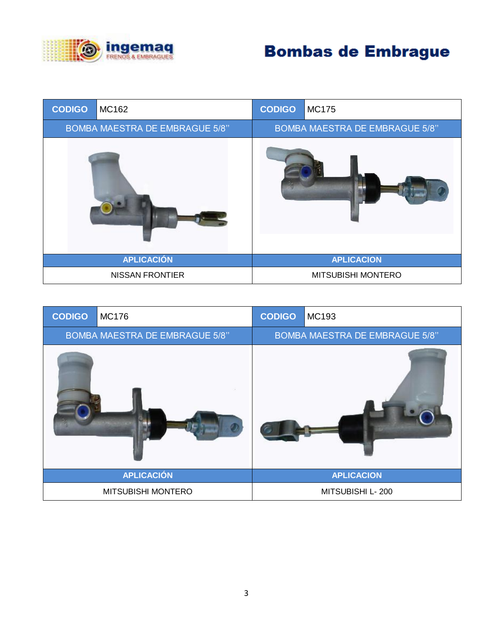

| <b>CODIGO</b>                         | MC162             | <b>CODIGO</b> | <b>MC175</b>                          |  |
|---------------------------------------|-------------------|---------------|---------------------------------------|--|
| <b>BOMBA MAESTRA DE EMBRAGUE 5/8"</b> |                   |               | <b>BOMBA MAESTRA DE EMBRAGUE 5/8"</b> |  |
|                                       |                   |               |                                       |  |
|                                       | <b>APLICACIÓN</b> |               | <b>APLICACION</b>                     |  |
| <b>NISSAN FRONTIER</b>                |                   |               | MITSUBISHI MONTERO                    |  |

| <b>CODIGO</b>                         | <b>MC176</b>       | <b>CODIGO</b> | MC193                                 |
|---------------------------------------|--------------------|---------------|---------------------------------------|
| <b>BOMBA MAESTRA DE EMBRAGUE 5/8"</b> |                    |               | <b>BOMBA MAESTRA DE EMBRAGUE 5/8"</b> |
|                                       |                    |               |                                       |
|                                       | <b>APLICACIÓN</b>  |               | <b>APLICACION</b>                     |
|                                       | MITSUBISHI MONTERO |               | MITSUBISHI L-200                      |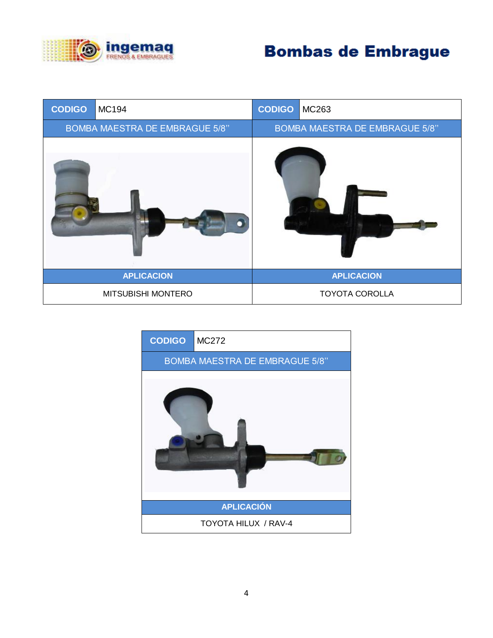

| <b>CODIGO</b>                         | MC194              | <b>CODIGO</b> | MC263                                 |
|---------------------------------------|--------------------|---------------|---------------------------------------|
| <b>BOMBA MAESTRA DE EMBRAGUE 5/8"</b> |                    |               | <b>BOMBA MAESTRA DE EMBRAGUE 5/8"</b> |
|                                       |                    |               |                                       |
|                                       | <b>APLICACION</b>  |               | <b>APLICACION</b>                     |
|                                       | MITSUBISHI MONTERO |               | <b>TOYOTA COROLLA</b>                 |



4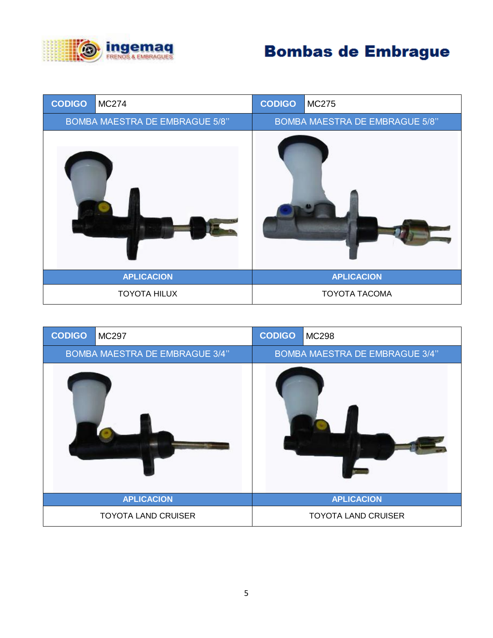

| <b>CODIGO</b>                         | <b>MC274</b>        | <b>CODIGO</b> | <b>MC275</b>                          |
|---------------------------------------|---------------------|---------------|---------------------------------------|
| <b>BOMBA MAESTRA DE EMBRAGUE 5/8"</b> |                     |               | <b>BOMBA MAESTRA DE EMBRAGUE 5/8"</b> |
|                                       |                     |               |                                       |
|                                       | <b>APLICACION</b>   |               | <b>APLICACION</b>                     |
|                                       | <b>TOYOTA HILUX</b> |               | <b>TOYOTA TACOMA</b>                  |

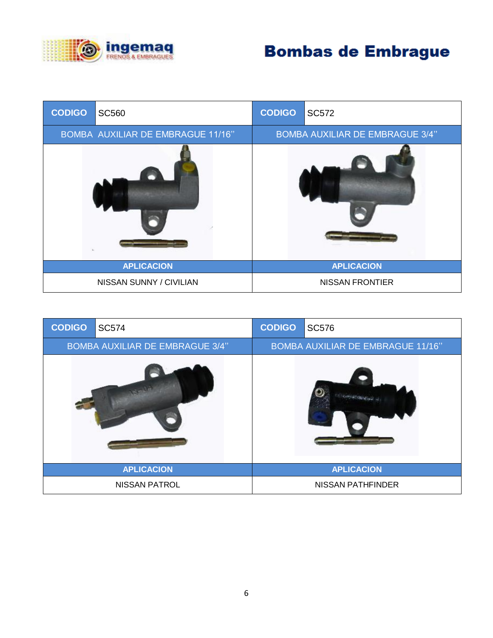

| <b>CODIGO</b>                     | <b>SC560</b>            | <b>CODIGO</b>                          | <b>SC572</b>           |
|-----------------------------------|-------------------------|----------------------------------------|------------------------|
| BOMBA AUXILIAR DE EMBRAGUE 11/16" |                         | <b>BOMBA AUXILIAR DE EMBRAGUE 3/4"</b> |                        |
|                                   |                         |                                        |                        |
|                                   | <b>APLICACION</b>       |                                        | <b>APLICACION</b>      |
|                                   | NISSAN SUNNY / CIVILIAN |                                        | <b>NISSAN FRONTIER</b> |

| <b>CODIGO</b>                          | <b>SC574</b>         | <b>CODIGO</b>                            | <b>SC576</b>             |
|----------------------------------------|----------------------|------------------------------------------|--------------------------|
| <b>BOMBA AUXILIAR DE EMBRAGUE 3/4"</b> |                      | <b>BOMBA AUXILIAR DE EMBRAGUE 11/16"</b> |                          |
|                                        |                      |                                          |                          |
|                                        | <b>APLICACION</b>    |                                          | <b>APLICACION</b>        |
|                                        | <b>NISSAN PATROL</b> |                                          | <b>NISSAN PATHFINDER</b> |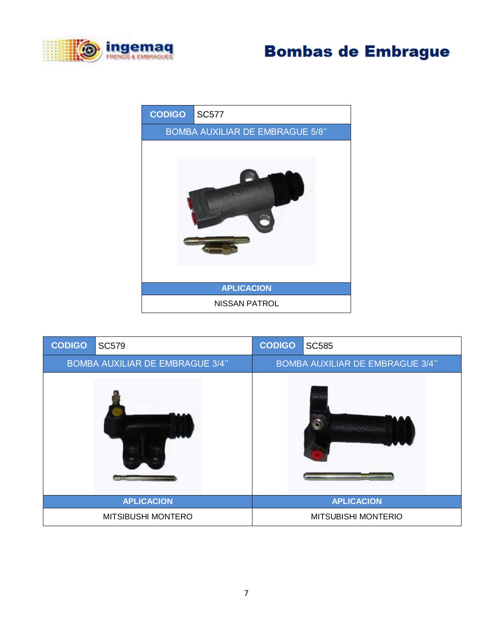





| <b>CODIGO</b>                          | <b>SC579</b>              | <b>CODIGO</b> | <b>SC585</b>                           |
|----------------------------------------|---------------------------|---------------|----------------------------------------|
| <b>BOMBA AUXILIAR DE EMBRAGUE 3/4"</b> |                           |               | <b>BOMBA AUXILIAR DE EMBRAGUE 3/4"</b> |
|                                        |                           |               |                                        |
|                                        | <b>APLICACION</b>         |               | <b>APLICACION</b>                      |
|                                        | <b>MITSIBUSHI MONTERO</b> |               | <b>MITSUBISHI MONTERIO</b>             |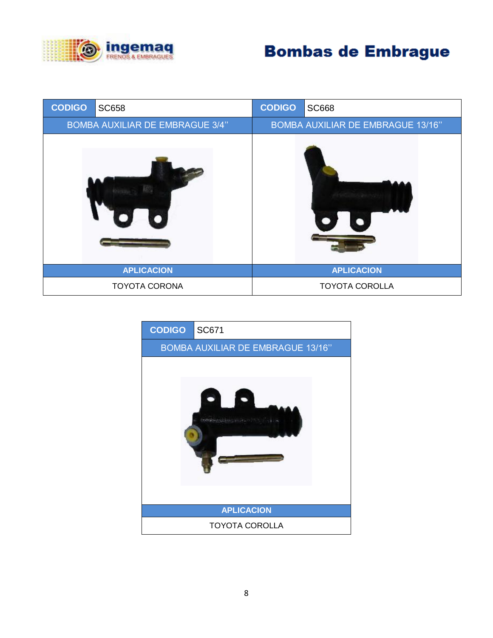

| <b>SC658</b>                           | <b>CODIGO</b> | <b>SC668</b>                             |
|----------------------------------------|---------------|------------------------------------------|
| <b>BOMBA AUXILIAR DE EMBRAGUE 3/4"</b> |               | <b>BOMBA AUXILIAR DE EMBRAGUE 13/16"</b> |
|                                        |               |                                          |
| <b>APLICACION</b>                      |               | <b>APLICACION</b>                        |
| <b>TOYOTA CORONA</b>                   |               | <b>TOYOTA COROLLA</b>                    |
|                                        |               |                                          |

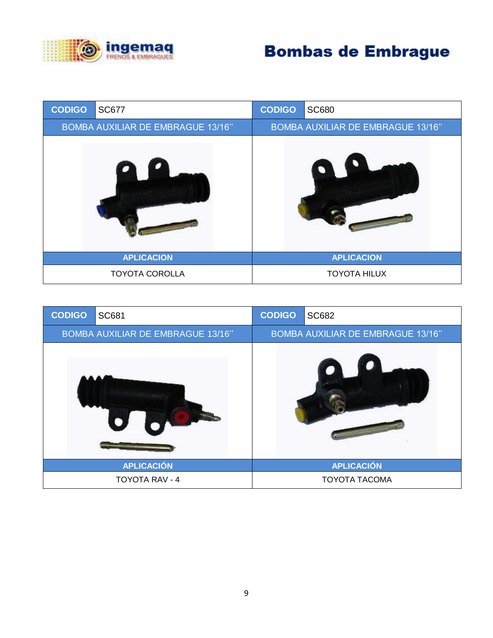

| <b>CODIGO</b>                     | <b>SC677</b>          | <b>CODIGO</b> | <b>SC680</b>                      |  |
|-----------------------------------|-----------------------|---------------|-----------------------------------|--|
| BOMBA AUXILIAR DE EMBRAGUE 13/16" |                       |               | BOMBA AUXILIAR DE EMBRAGUE 13/16" |  |
|                                   |                       |               |                                   |  |
|                                   | <b>APLICACION</b>     |               | <b>APLICACION</b>                 |  |
|                                   | <b>TOYOTA COROLLA</b> |               | <b>TOYOTA HILUX</b>               |  |

| <b>CODIGO</b>                     | <b>SC681</b>          | <b>CODIGO</b>                     | <b>SC682</b>         |
|-----------------------------------|-----------------------|-----------------------------------|----------------------|
| BOMBA AUXILIAR DE EMBRAGUE 13/16" |                       | BOMBA AUXILIAR DE EMBRAGUE 13/16" |                      |
|                                   |                       |                                   |                      |
|                                   | <b>APLICACIÓN</b>     |                                   | <b>APLICACIÓN</b>    |
|                                   | <b>TOYOTA RAV - 4</b> |                                   | <b>TOYOTA TACOMA</b> |